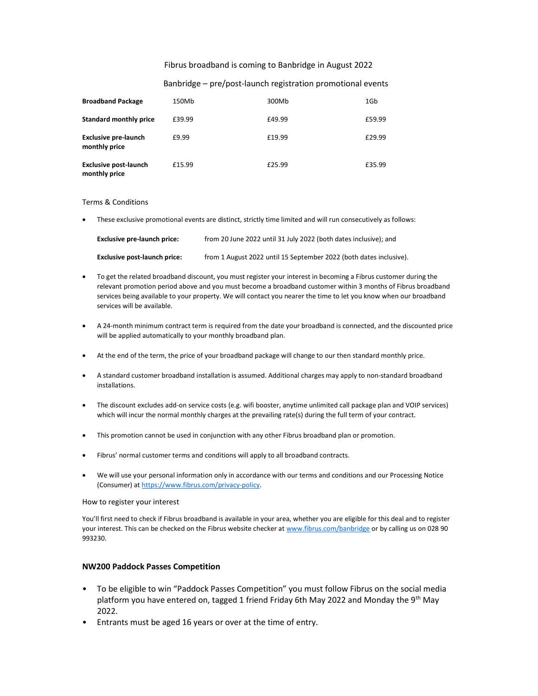#### Fibrus broadband is coming to Banbridge in August 2022

## Banbridge – pre/post-launch registration promotional events

| <b>Broadband Package</b>                      | 150Mb  | 300Mb  | 1Gb    |
|-----------------------------------------------|--------|--------|--------|
| <b>Standard monthly price</b>                 | £39.99 | £49.99 | £59.99 |
| <b>Exclusive pre-launch</b><br>monthly price  | £9.99  | £19.99 | £29.99 |
| <b>Exclusive post-launch</b><br>monthly price | £15.99 | £25.99 | £35.99 |

#### Terms & Conditions

These exclusive promotional events are distinct, strictly time limited and will run consecutively as follows:

| <b>Exclusive pre-launch price:</b>  | from 20 June 2022 until 31 July 2022 (both dates inclusive): and   |
|-------------------------------------|--------------------------------------------------------------------|
| <b>Exclusive post-launch price:</b> | from 1 August 2022 until 15 September 2022 (both dates inclusive). |

- To get the related broadband discount, you must register your interest in becoming a Fibrus customer during the relevant promotion period above and you must become a broadband customer within 3 months of Fibrus broadband services being available to your property. We will contact you nearer the time to let you know when our broadband services will be available.
- A 24-month minimum contract term is required from the date your broadband is connected, and the discounted price will be applied automatically to your monthly broadband plan.
- At the end of the term, the price of your broadband package will change to our then standard monthly price.
- A standard customer broadband installation is assumed. Additional charges may apply to non-standard broadband installations.
- The discount excludes add-on service costs (e.g. wifi booster, anytime unlimited call package plan and VOIP services) which will incur the normal monthly charges at the prevailing rate(s) during the full term of your contract.
- This promotion cannot be used in conjunction with any other Fibrus broadband plan or promotion.
- Fibrus' normal customer terms and conditions will apply to all broadband contracts.
- We will use your personal information only in accordance with our terms and conditions and our Processing Notice (Consumer) at https://www.fibrus.com/privacy-policy.

#### How to register your interest

You'll first need to check if Fibrus broadband is available in your area, whether you are eligible for this deal and to register your interest. This can be checked on the Fibrus website checker at www.fibrus.com/banbridge or by calling us on 028 90 993230.

#### NW200 Paddock Passes Competition

- To be eligible to win "Paddock Passes Competition" you must follow Fibrus on the social media platform you have entered on, tagged 1 friend Friday 6th May 2022 and Monday the 9<sup>th</sup> May 2022.
- Entrants must be aged 16 years or over at the time of entry.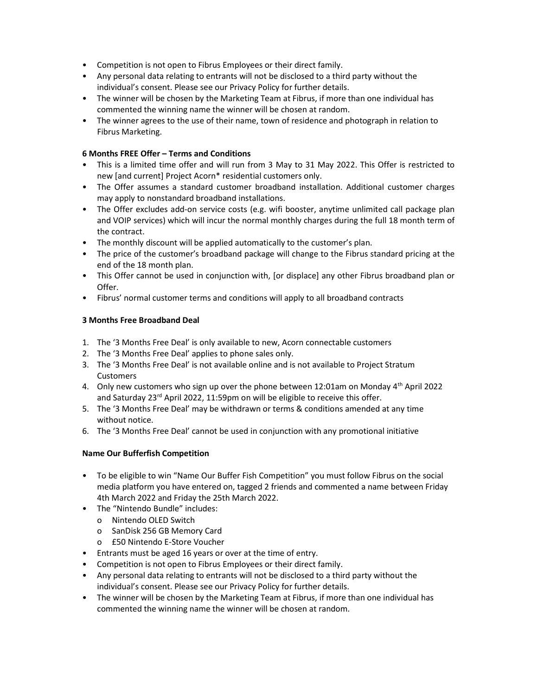- Competition is not open to Fibrus Employees or their direct family.
- Any personal data relating to entrants will not be disclosed to a third party without the individual's consent. Please see our Privacy Policy for further details.
- The winner will be chosen by the Marketing Team at Fibrus, if more than one individual has commented the winning name the winner will be chosen at random.
- The winner agrees to the use of their name, town of residence and photograph in relation to Fibrus Marketing.

# 6 Months FREE Offer – Terms and Conditions

- This is a limited time offer and will run from 3 May to 31 May 2022. This Offer is restricted to new [and current] Project Acorn\* residential customers only.
- The Offer assumes a standard customer broadband installation. Additional customer charges may apply to nonstandard broadband installations.
- The Offer excludes add-on service costs (e.g. wifi booster, anytime unlimited call package plan and VOIP services) which will incur the normal monthly charges during the full 18 month term of the contract.
- The monthly discount will be applied automatically to the customer's plan.
- The price of the customer's broadband package will change to the Fibrus standard pricing at the end of the 18 month plan.
- This Offer cannot be used in conjunction with, [or displace] any other Fibrus broadband plan or Offer.
- Fibrus' normal customer terms and conditions will apply to all broadband contracts

# 3 Months Free Broadband Deal

- 1. The '3 Months Free Deal' is only available to new, Acorn connectable customers
- 2. The '3 Months Free Deal' applies to phone sales only.
- 3. The '3 Months Free Deal' is not available online and is not available to Project Stratum **Customers**
- 4. Only new customers who sign up over the phone between 12:01am on Monday  $4<sup>th</sup>$  April 2022 and Saturday 23<sup>rd</sup> April 2022, 11:59pm on will be eligible to receive this offer.
- 5. The '3 Months Free Deal' may be withdrawn or terms & conditions amended at any time without notice.
- 6. The '3 Months Free Deal' cannot be used in conjunction with any promotional initiative

# Name Our Bufferfish Competition

- To be eligible to win "Name Our Buffer Fish Competition" you must follow Fibrus on the social media platform you have entered on, tagged 2 friends and commented a name between Friday 4th March 2022 and Friday the 25th March 2022.
- The "Nintendo Bundle" includes:
	- o Nintendo OLED Switch
	- o SanDisk 256 GB Memory Card
	- o £50 Nintendo E-Store Voucher
- Entrants must be aged 16 years or over at the time of entry.
- Competition is not open to Fibrus Employees or their direct family.
- Any personal data relating to entrants will not be disclosed to a third party without the individual's consent. Please see our Privacy Policy for further details.
- The winner will be chosen by the Marketing Team at Fibrus, if more than one individual has commented the winning name the winner will be chosen at random.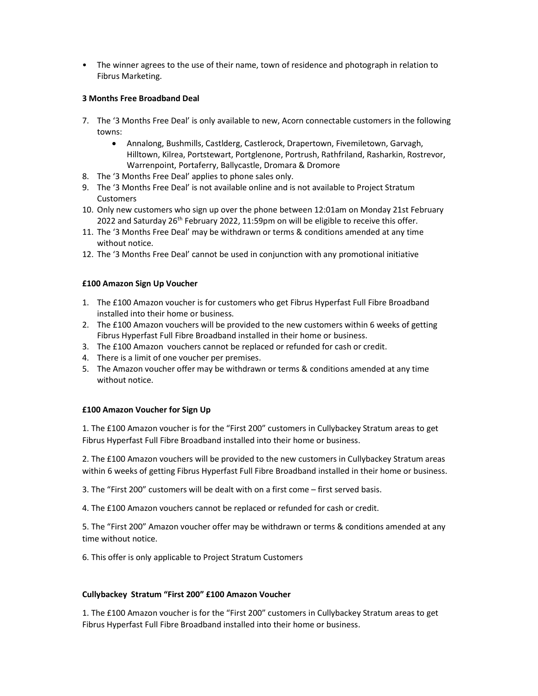• The winner agrees to the use of their name, town of residence and photograph in relation to Fibrus Marketing.

### 3 Months Free Broadband Deal

- 7. The '3 Months Free Deal' is only available to new, Acorn connectable customers in the following towns:
	- Annalong, Bushmills, Castlderg, Castlerock, Drapertown, Fivemiletown, Garvagh, Hilltown, Kilrea, Portstewart, Portglenone, Portrush, Rathfriland, Rasharkin, Rostrevor, Warrenpoint, Portaferry, Ballycastle, Dromara & Dromore
- 8. The '3 Months Free Deal' applies to phone sales only.
- 9. The '3 Months Free Deal' is not available online and is not available to Project Stratum **Customers**
- 10. Only new customers who sign up over the phone between 12:01am on Monday 21st February 2022 and Saturday  $26<sup>th</sup>$  February 2022, 11:59pm on will be eligible to receive this offer.
- 11. The '3 Months Free Deal' may be withdrawn or terms & conditions amended at any time without notice.
- 12. The '3 Months Free Deal' cannot be used in conjunction with any promotional initiative

## £100 Amazon Sign Up Voucher

- 1. The £100 Amazon voucher is for customers who get Fibrus Hyperfast Full Fibre Broadband installed into their home or business.
- 2. The £100 Amazon vouchers will be provided to the new customers within 6 weeks of getting Fibrus Hyperfast Full Fibre Broadband installed in their home or business.
- 3. The £100 Amazon vouchers cannot be replaced or refunded for cash or credit.
- 4. There is a limit of one voucher per premises.
- 5. The Amazon voucher offer may be withdrawn or terms & conditions amended at any time without notice.

### £100 Amazon Voucher for Sign Up

1. The £100 Amazon voucher is for the "First 200" customers in Cullybackey Stratum areas to get Fibrus Hyperfast Full Fibre Broadband installed into their home or business.

2. The £100 Amazon vouchers will be provided to the new customers in Cullybackey Stratum areas within 6 weeks of getting Fibrus Hyperfast Full Fibre Broadband installed in their home or business.

3. The "First 200" customers will be dealt with on a first come – first served basis.

4. The £100 Amazon vouchers cannot be replaced or refunded for cash or credit.

5. The "First 200" Amazon voucher offer may be withdrawn or terms & conditions amended at any time without notice.

6. This offer is only applicable to Project Stratum Customers

### Cullybackey Stratum "First 200" £100 Amazon Voucher

1. The £100 Amazon voucher is for the "First 200" customers in Cullybackey Stratum areas to get Fibrus Hyperfast Full Fibre Broadband installed into their home or business.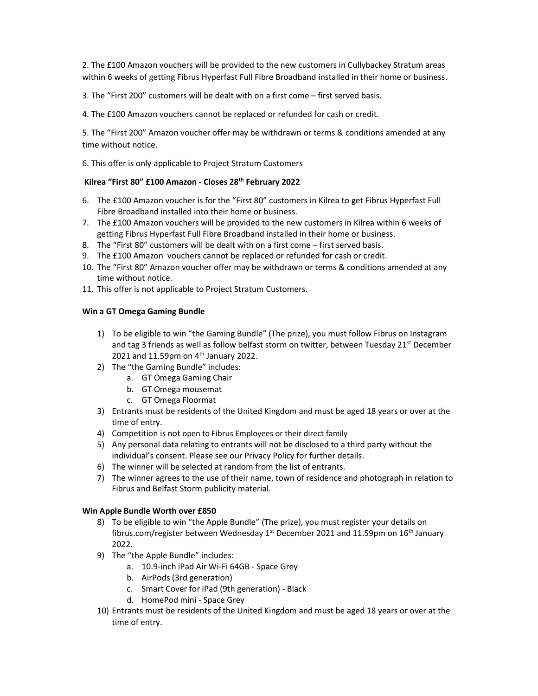2. The £100 Amazon vouchers will be provided to the new customers in Cullybackey Stratum areas within 6 weeks of getting Fibrus Hyperfast Full Fibre Broadband installed in their home or business.

3. The "First 200" customers will be dealt with on a first come – first served basis.

4. The £100 Amazon vouchers cannot be replaced or refunded for cash or credit.

5. The "First 200" Amazon voucher offer may be withdrawn or terms & conditions amended at any time without notice.

6. This offer is only applicable to Project Stratum Customers

## Kilrea "First 80" £100 Amazon - Closes 28<sup>th</sup> February 2022

- 6. The £100 Amazon voucher is for the "First 80" customers in Kilrea to get Fibrus Hyperfast Full Fibre Broadband installed into their home or business.
- 7. The £100 Amazon vouchers will be provided to the new customers in Kilrea within 6 weeks of getting Fibrus Hyperfast Full Fibre Broadband installed in their home or business.
- 8. The "First 80" customers will be dealt with on a first come first served basis.
- 9. The £100 Amazon vouchers cannot be replaced or refunded for cash or credit.
- 10. The "First 80" Amazon voucher offer may be withdrawn or terms & conditions amended at any time without notice.
- 11. This offer is not applicable to Project Stratum Customers.

## Win a GT Omega Gaming Bundle

- 1) To be eligible to win "the Gaming Bundle" (The prize), you must follow Fibrus on Instagram and tag 3 friends as well as follow belfast storm on twitter, between Tuesday 21<sup>st</sup> December 2021 and 11.59pm on  $4<sup>th</sup>$  January 2022.
- 2) The "the Gaming Bundle" includes:
	- a. GT Omega Gaming Chair
	- b. GT Omega mousemat
	- c. GT Omega Floormat
- 3) Entrants must be residents of the United Kingdom and must be aged 18 years or over at the time of entry.
- 4) Competition is not open to Fibrus Employees or their direct family
- 5) Any personal data relating to entrants will not be disclosed to a third party without the individual's consent. Please see our Privacy Policy for further details.
- 6) The winner will be selected at random from the list of entrants.
- 7) The winner agrees to the use of their name, town of residence and photograph in relation to Fibrus and Belfast Storm publicity material.

# Win Apple Bundle Worth over £850

- 8) To be eligible to win "the Apple Bundle" (The prize), you must register your details on fibrus.com/register between Wednesday  $1<sup>st</sup>$  December 2021 and 11.59pm on  $16<sup>th</sup>$  January 2022.
- 9) The "the Apple Bundle" includes:
	- a. 10.9-inch iPad Air Wi-Fi 64GB Space Grey
	- b. AirPods (3rd generation)
	- c. Smart Cover for iPad (9th generation) Black
	- d. HomePod mini Space Grey
- 10) Entrants must be residents of the United Kingdom and must be aged 18 years or over at the time of entry.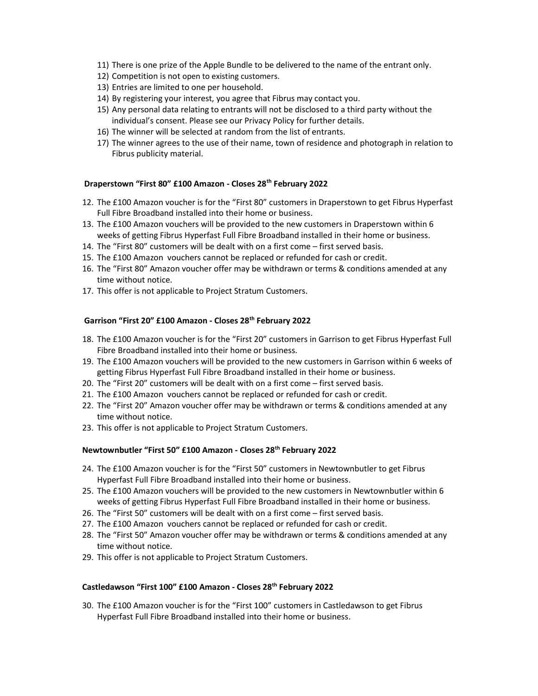- 11) There is one prize of the Apple Bundle to be delivered to the name of the entrant only.
- 12) Competition is not open to existing customers.
- 13) Entries are limited to one per household.
- 14) By registering your interest, you agree that Fibrus may contact you.
- 15) Any personal data relating to entrants will not be disclosed to a third party without the individual's consent. Please see our Privacy Policy for further details.
- 16) The winner will be selected at random from the list of entrants.
- 17) The winner agrees to the use of their name, town of residence and photograph in relation to Fibrus publicity material.

### Draperstown "First 80" £100 Amazon - Closes 28<sup>th</sup> February 2022

- 12. The £100 Amazon voucher is for the "First 80" customers in Draperstown to get Fibrus Hyperfast Full Fibre Broadband installed into their home or business.
- 13. The £100 Amazon vouchers will be provided to the new customers in Draperstown within 6 weeks of getting Fibrus Hyperfast Full Fibre Broadband installed in their home or business.
- 14. The "First 80" customers will be dealt with on a first come first served basis.
- 15. The £100 Amazon vouchers cannot be replaced or refunded for cash or credit.
- 16. The "First 80" Amazon voucher offer may be withdrawn or terms & conditions amended at any time without notice.
- 17. This offer is not applicable to Project Stratum Customers.

## Garrison "First 20" £100 Amazon - Closes 28th February 2022

- 18. The £100 Amazon voucher is for the "First 20" customers in Garrison to get Fibrus Hyperfast Full Fibre Broadband installed into their home or business.
- 19. The £100 Amazon vouchers will be provided to the new customers in Garrison within 6 weeks of getting Fibrus Hyperfast Full Fibre Broadband installed in their home or business.
- 20. The "First 20" customers will be dealt with on a first come first served basis.
- 21. The £100 Amazon vouchers cannot be replaced or refunded for cash or credit.
- 22. The "First 20" Amazon voucher offer may be withdrawn or terms & conditions amended at any time without notice.
- 23. This offer is not applicable to Project Stratum Customers.

### Newtownbutler "First 50" £100 Amazon - Closes 28th February 2022

- 24. The £100 Amazon voucher is for the "First 50" customers in Newtownbutler to get Fibrus Hyperfast Full Fibre Broadband installed into their home or business.
- 25. The £100 Amazon vouchers will be provided to the new customers in Newtownbutler within 6 weeks of getting Fibrus Hyperfast Full Fibre Broadband installed in their home or business.
- 26. The "First 50" customers will be dealt with on a first come first served basis.
- 27. The £100 Amazon vouchers cannot be replaced or refunded for cash or credit.
- 28. The "First 50" Amazon voucher offer may be withdrawn or terms & conditions amended at any time without notice.
- 29. This offer is not applicable to Project Stratum Customers.

### Castledawson "First 100" £100 Amazon - Closes 28th February 2022

30. The £100 Amazon voucher is for the "First 100" customers in Castledawson to get Fibrus Hyperfast Full Fibre Broadband installed into their home or business.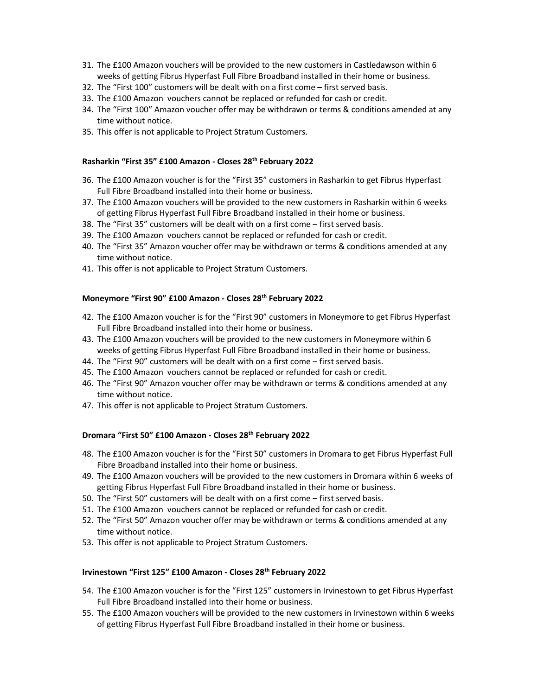- 31. The £100 Amazon vouchers will be provided to the new customers in Castledawson within 6 weeks of getting Fibrus Hyperfast Full Fibre Broadband installed in their home or business.
- 32. The "First 100" customers will be dealt with on a first come first served basis.
- 33. The £100 Amazon vouchers cannot be replaced or refunded for cash or credit.
- 34. The "First 100" Amazon voucher offer may be withdrawn or terms & conditions amended at any time without notice.
- 35. This offer is not applicable to Project Stratum Customers.

### Rasharkin "First 35" £100 Amazon - Closes 28th February 2022

- 36. The £100 Amazon voucher is for the "First 35" customers in Rasharkin to get Fibrus Hyperfast Full Fibre Broadband installed into their home or business.
- 37. The £100 Amazon vouchers will be provided to the new customers in Rasharkin within 6 weeks of getting Fibrus Hyperfast Full Fibre Broadband installed in their home or business.
- 38. The "First 35" customers will be dealt with on a first come first served basis.
- 39. The £100 Amazon vouchers cannot be replaced or refunded for cash or credit.
- 40. The "First 35" Amazon voucher offer may be withdrawn or terms & conditions amended at any time without notice.
- 41. This offer is not applicable to Project Stratum Customers.

## Moneymore "First 90" £100 Amazon - Closes 28th February 2022

- 42. The £100 Amazon voucher is for the "First 90" customers in Moneymore to get Fibrus Hyperfast Full Fibre Broadband installed into their home or business.
- 43. The £100 Amazon vouchers will be provided to the new customers in Moneymore within 6 weeks of getting Fibrus Hyperfast Full Fibre Broadband installed in their home or business.
- 44. The "First 90" customers will be dealt with on a first come first served basis.
- 45. The £100 Amazon vouchers cannot be replaced or refunded for cash or credit.
- 46. The "First 90" Amazon voucher offer may be withdrawn or terms & conditions amended at any time without notice.
- 47. This offer is not applicable to Project Stratum Customers.

### Dromara "First 50" £100 Amazon - Closes 28th February 2022

- 48. The £100 Amazon voucher is for the "First 50" customers in Dromara to get Fibrus Hyperfast Full Fibre Broadband installed into their home or business.
- 49. The £100 Amazon vouchers will be provided to the new customers in Dromara within 6 weeks of getting Fibrus Hyperfast Full Fibre Broadband installed in their home or business.
- 50. The "First 50" customers will be dealt with on a first come first served basis.
- 51. The £100 Amazon vouchers cannot be replaced or refunded for cash or credit.
- 52. The "First 50" Amazon voucher offer may be withdrawn or terms & conditions amended at any time without notice.
- 53. This offer is not applicable to Project Stratum Customers.

# Irvinestown "First 125" £100 Amazon - Closes 28<sup>th</sup> February 2022

- 54. The £100 Amazon voucher is for the "First 125" customers in Irvinestown to get Fibrus Hyperfast Full Fibre Broadband installed into their home or business.
- 55. The £100 Amazon vouchers will be provided to the new customers in Irvinestown within 6 weeks of getting Fibrus Hyperfast Full Fibre Broadband installed in their home or business.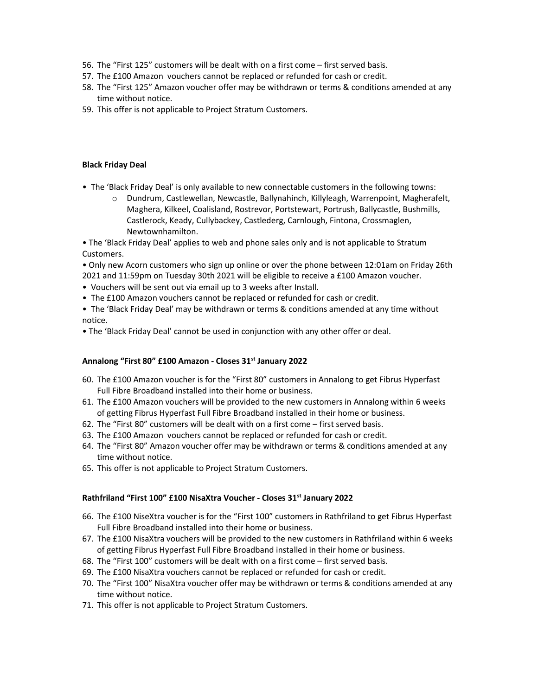- 56. The "First 125" customers will be dealt with on a first come first served basis.
- 57. The £100 Amazon vouchers cannot be replaced or refunded for cash or credit.
- 58. The "First 125" Amazon voucher offer may be withdrawn or terms & conditions amended at any time without notice.
- 59. This offer is not applicable to Project Stratum Customers.

## Black Friday Deal

- The 'Black Friday Deal' is only available to new connectable customers in the following towns:
	- o Dundrum, Castlewellan, Newcastle, Ballynahinch, Killyleagh, Warrenpoint, Magherafelt, Maghera, Kilkeel, Coalisland, Rostrevor, Portstewart, Portrush, Ballycastle, Bushmills, Castlerock, Keady, Cullybackey, Castlederg, Carnlough, Fintona, Crossmaglen, Newtownhamilton.

• The 'Black Friday Deal' applies to web and phone sales only and is not applicable to Stratum Customers.

• Only new Acorn customers who sign up online or over the phone between 12:01am on Friday 26th 2021 and 11:59pm on Tuesday 30th 2021 will be eligible to receive a £100 Amazon voucher.

- Vouchers will be sent out via email up to 3 weeks after Install.
- The £100 Amazon vouchers cannot be replaced or refunded for cash or credit.

• The 'Black Friday Deal' may be withdrawn or terms & conditions amended at any time without notice.

• The 'Black Friday Deal' cannot be used in conjunction with any other offer or deal.

### Annalong "First 80" £100 Amazon - Closes 31<sup>st</sup> January 2022

- 60. The £100 Amazon voucher is for the "First 80" customers in Annalong to get Fibrus Hyperfast Full Fibre Broadband installed into their home or business.
- 61. The £100 Amazon vouchers will be provided to the new customers in Annalong within 6 weeks of getting Fibrus Hyperfast Full Fibre Broadband installed in their home or business.
- 62. The "First 80" customers will be dealt with on a first come first served basis.
- 63. The £100 Amazon vouchers cannot be replaced or refunded for cash or credit.
- 64. The "First 80" Amazon voucher offer may be withdrawn or terms & conditions amended at any time without notice.
- 65. This offer is not applicable to Project Stratum Customers.

# Rathfriland "First 100" £100 NisaXtra Voucher - Closes 31<sup>st</sup> January 2022

- 66. The £100 NiseXtra voucher is for the "First 100" customers in Rathfriland to get Fibrus Hyperfast Full Fibre Broadband installed into their home or business.
- 67. The £100 NisaXtra vouchers will be provided to the new customers in Rathfriland within 6 weeks of getting Fibrus Hyperfast Full Fibre Broadband installed in their home or business.
- 68. The "First 100" customers will be dealt with on a first come first served basis.
- 69. The £100 NisaXtra vouchers cannot be replaced or refunded for cash or credit.
- 70. The "First 100" NisaXtra voucher offer may be withdrawn or terms & conditions amended at any time without notice.
- 71. This offer is not applicable to Project Stratum Customers.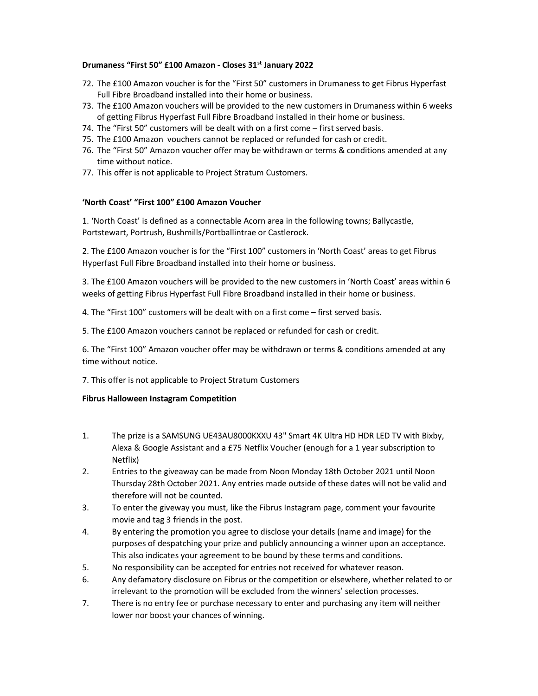### Drumaness "First 50" £100 Amazon - Closes 31<sup>st</sup> January 2022

- 72. The £100 Amazon voucher is for the "First 50" customers in Drumaness to get Fibrus Hyperfast Full Fibre Broadband installed into their home or business.
- 73. The £100 Amazon vouchers will be provided to the new customers in Drumaness within 6 weeks of getting Fibrus Hyperfast Full Fibre Broadband installed in their home or business.
- 74. The "First 50" customers will be dealt with on a first come first served basis.
- 75. The £100 Amazon vouchers cannot be replaced or refunded for cash or credit.
- 76. The "First 50" Amazon voucher offer may be withdrawn or terms & conditions amended at any time without notice.
- 77. This offer is not applicable to Project Stratum Customers.

### 'North Coast' "First 100" £100 Amazon Voucher

1. 'North Coast' is defined as a connectable Acorn area in the following towns; Ballycastle, Portstewart, Portrush, Bushmills/Portballintrae or Castlerock.

2. The £100 Amazon voucher is for the "First 100" customers in 'North Coast' areas to get Fibrus Hyperfast Full Fibre Broadband installed into their home or business.

3. The £100 Amazon vouchers will be provided to the new customers in 'North Coast' areas within 6 weeks of getting Fibrus Hyperfast Full Fibre Broadband installed in their home or business.

4. The "First 100" customers will be dealt with on a first come – first served basis.

5. The £100 Amazon vouchers cannot be replaced or refunded for cash or credit.

6. The "First 100" Amazon voucher offer may be withdrawn or terms & conditions amended at any time without notice.

7. This offer is not applicable to Project Stratum Customers

### Fibrus Halloween Instagram Competition

- 1. The prize is a SAMSUNG UE43AU8000KXXU 43" Smart 4K Ultra HD HDR LED TV with Bixby, Alexa & Google Assistant and a £75 Netflix Voucher (enough for a 1 year subscription to Netflix)
- 2. Entries to the giveaway can be made from Noon Monday 18th October 2021 until Noon Thursday 28th October 2021. Any entries made outside of these dates will not be valid and therefore will not be counted.
- 3. To enter the giveway you must, like the Fibrus Instagram page, comment your favourite movie and tag 3 friends in the post.
- 4. By entering the promotion you agree to disclose your details (name and image) for the purposes of despatching your prize and publicly announcing a winner upon an acceptance. This also indicates your agreement to be bound by these terms and conditions.
- 5. No responsibility can be accepted for entries not received for whatever reason.
- 6. Any defamatory disclosure on Fibrus or the competition or elsewhere, whether related to or irrelevant to the promotion will be excluded from the winners' selection processes.
- 7. There is no entry fee or purchase necessary to enter and purchasing any item will neither lower nor boost your chances of winning.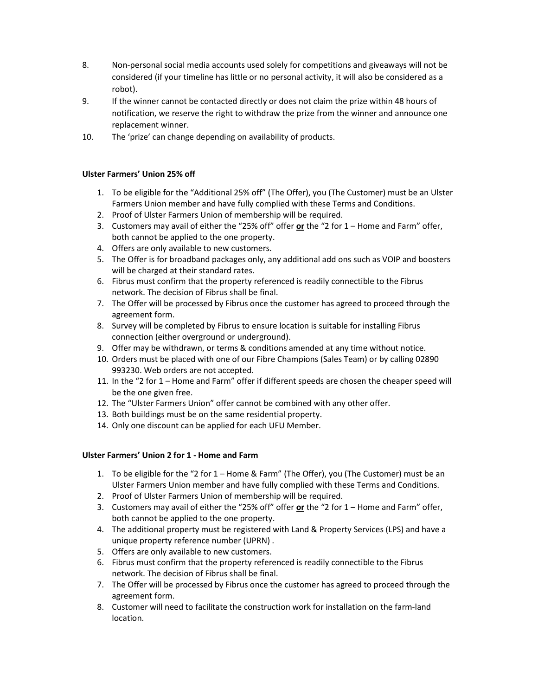- 8. Non-personal social media accounts used solely for competitions and giveaways will not be considered (if your timeline has little or no personal activity, it will also be considered as a robot).
- 9. If the winner cannot be contacted directly or does not claim the prize within 48 hours of notification, we reserve the right to withdraw the prize from the winner and announce one replacement winner.
- 10. The 'prize' can change depending on availability of products.

# Ulster Farmers' Union 25% off

- 1. To be eligible for the "Additional 25% off" (The Offer), you (The Customer) must be an Ulster Farmers Union member and have fully complied with these Terms and Conditions.
- 2. Proof of Ulster Farmers Union of membership will be required.
- 3. Customers may avail of either the "25% off" offer or the "2 for  $1 -$  Home and Farm" offer, both cannot be applied to the one property.
- 4. Offers are only available to new customers.
- 5. The Offer is for broadband packages only, any additional add ons such as VOIP and boosters will be charged at their standard rates.
- 6. Fibrus must confirm that the property referenced is readily connectible to the Fibrus network. The decision of Fibrus shall be final.
- 7. The Offer will be processed by Fibrus once the customer has agreed to proceed through the agreement form.
- 8. Survey will be completed by Fibrus to ensure location is suitable for installing Fibrus connection (either overground or underground).
- 9. Offer may be withdrawn, or terms & conditions amended at any time without notice.
- 10. Orders must be placed with one of our Fibre Champions (Sales Team) or by calling 02890 993230. Web orders are not accepted.
- 11. In the "2 for 1 Home and Farm" offer if different speeds are chosen the cheaper speed will be the one given free.
- 12. The "Ulster Farmers Union" offer cannot be combined with any other offer.
- 13. Both buildings must be on the same residential property.
- 14. Only one discount can be applied for each UFU Member.

# Ulster Farmers' Union 2 for 1 - Home and Farm

- 1. To be eligible for the "2 for 1 Home & Farm" (The Offer), you (The Customer) must be an Ulster Farmers Union member and have fully complied with these Terms and Conditions.
- 2. Proof of Ulster Farmers Union of membership will be required.
- 3. Customers may avail of either the "25% off" offer  $or$  the "2 for  $1 -$  Home and Farm" offer, both cannot be applied to the one property.
- 4. The additional property must be registered with Land & Property Services (LPS) and have a unique property reference number (UPRN) .
- 5. Offers are only available to new customers.
- 6. Fibrus must confirm that the property referenced is readily connectible to the Fibrus network. The decision of Fibrus shall be final.
- 7. The Offer will be processed by Fibrus once the customer has agreed to proceed through the agreement form.
- 8. Customer will need to facilitate the construction work for installation on the farm-land location.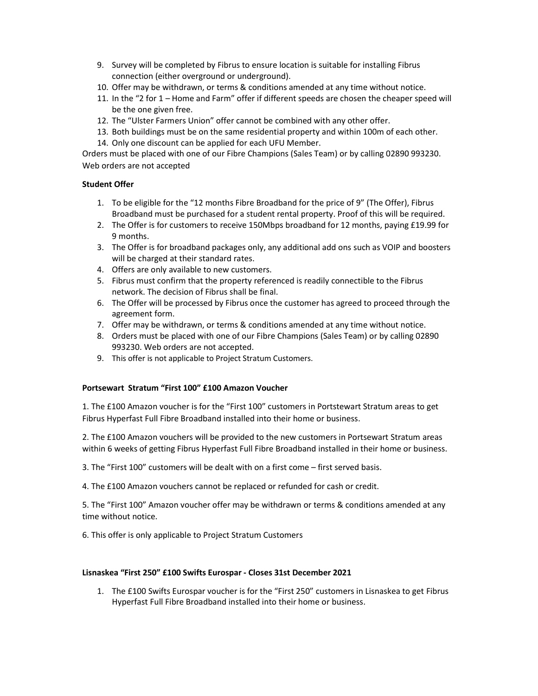- 9. Survey will be completed by Fibrus to ensure location is suitable for installing Fibrus connection (either overground or underground).
- 10. Offer may be withdrawn, or terms & conditions amended at any time without notice.
- 11. In the "2 for 1 Home and Farm" offer if different speeds are chosen the cheaper speed will be the one given free.
- 12. The "Ulster Farmers Union" offer cannot be combined with any other offer.
- 13. Both buildings must be on the same residential property and within 100m of each other.
- 14. Only one discount can be applied for each UFU Member.

Orders must be placed with one of our Fibre Champions (Sales Team) or by calling 02890 993230. Web orders are not accepted

### Student Offer

- 1. To be eligible for the "12 months Fibre Broadband for the price of 9" (The Offer), Fibrus Broadband must be purchased for a student rental property. Proof of this will be required.
- 2. The Offer is for customers to receive 150Mbps broadband for 12 months, paying £19.99 for 9 months.
- 3. The Offer is for broadband packages only, any additional add ons such as VOIP and boosters will be charged at their standard rates.
- 4. Offers are only available to new customers.
- 5. Fibrus must confirm that the property referenced is readily connectible to the Fibrus network. The decision of Fibrus shall be final.
- 6. The Offer will be processed by Fibrus once the customer has agreed to proceed through the agreement form.
- 7. Offer may be withdrawn, or terms & conditions amended at any time without notice.
- 8. Orders must be placed with one of our Fibre Champions (Sales Team) or by calling 02890 993230. Web orders are not accepted.
- 9. This offer is not applicable to Project Stratum Customers.

### Portsewart Stratum "First 100" £100 Amazon Voucher

1. The £100 Amazon voucher is for the "First 100" customers in Portstewart Stratum areas to get Fibrus Hyperfast Full Fibre Broadband installed into their home or business.

2. The £100 Amazon vouchers will be provided to the new customers in Portsewart Stratum areas within 6 weeks of getting Fibrus Hyperfast Full Fibre Broadband installed in their home or business.

3. The "First 100" customers will be dealt with on a first come – first served basis.

4. The £100 Amazon vouchers cannot be replaced or refunded for cash or credit.

5. The "First 100" Amazon voucher offer may be withdrawn or terms & conditions amended at any time without notice.

6. This offer is only applicable to Project Stratum Customers

### Lisnaskea "First 250" £100 Swifts Eurospar - Closes 31st December 2021

1. The £100 Swifts Eurospar voucher is for the "First 250" customers in Lisnaskea to get Fibrus Hyperfast Full Fibre Broadband installed into their home or business.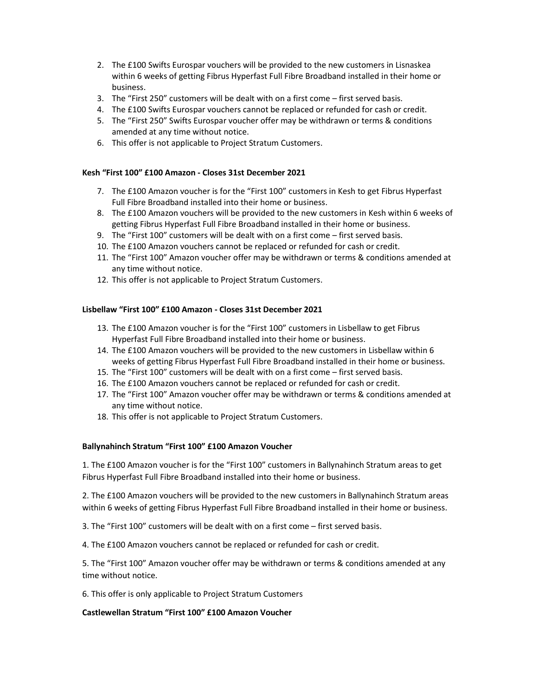- 2. The £100 Swifts Eurospar vouchers will be provided to the new customers in Lisnaskea within 6 weeks of getting Fibrus Hyperfast Full Fibre Broadband installed in their home or business.
- 3. The "First 250" customers will be dealt with on a first come first served basis.
- 4. The £100 Swifts Eurospar vouchers cannot be replaced or refunded for cash or credit.
- 5. The "First 250" Swifts Eurospar voucher offer may be withdrawn or terms & conditions amended at any time without notice.
- 6. This offer is not applicable to Project Stratum Customers.

### Kesh "First 100" £100 Amazon - Closes 31st December 2021

- 7. The £100 Amazon voucher is for the "First 100" customers in Kesh to get Fibrus Hyperfast Full Fibre Broadband installed into their home or business.
- 8. The £100 Amazon vouchers will be provided to the new customers in Kesh within 6 weeks of getting Fibrus Hyperfast Full Fibre Broadband installed in their home or business.
- 9. The "First 100" customers will be dealt with on a first come first served basis.
- 10. The £100 Amazon vouchers cannot be replaced or refunded for cash or credit.
- 11. The "First 100" Amazon voucher offer may be withdrawn or terms & conditions amended at any time without notice.
- 12. This offer is not applicable to Project Stratum Customers.

## Lisbellaw "First 100" £100 Amazon - Closes 31st December 2021

- 13. The £100 Amazon voucher is for the "First 100" customers in Lisbellaw to get Fibrus Hyperfast Full Fibre Broadband installed into their home or business.
- 14. The £100 Amazon vouchers will be provided to the new customers in Lisbellaw within 6 weeks of getting Fibrus Hyperfast Full Fibre Broadband installed in their home or business.
- 15. The "First 100" customers will be dealt with on a first come first served basis.
- 16. The £100 Amazon vouchers cannot be replaced or refunded for cash or credit.
- 17. The "First 100" Amazon voucher offer may be withdrawn or terms & conditions amended at any time without notice.
- 18. This offer is not applicable to Project Stratum Customers.

### Ballynahinch Stratum "First 100" £100 Amazon Voucher

1. The £100 Amazon voucher is for the "First 100" customers in Ballynahinch Stratum areas to get Fibrus Hyperfast Full Fibre Broadband installed into their home or business.

2. The £100 Amazon vouchers will be provided to the new customers in Ballynahinch Stratum areas within 6 weeks of getting Fibrus Hyperfast Full Fibre Broadband installed in their home or business.

3. The "First 100" customers will be dealt with on a first come – first served basis.

4. The £100 Amazon vouchers cannot be replaced or refunded for cash or credit.

5. The "First 100" Amazon voucher offer may be withdrawn or terms & conditions amended at any time without notice.

6. This offer is only applicable to Project Stratum Customers

#### Castlewellan Stratum "First 100" £100 Amazon Voucher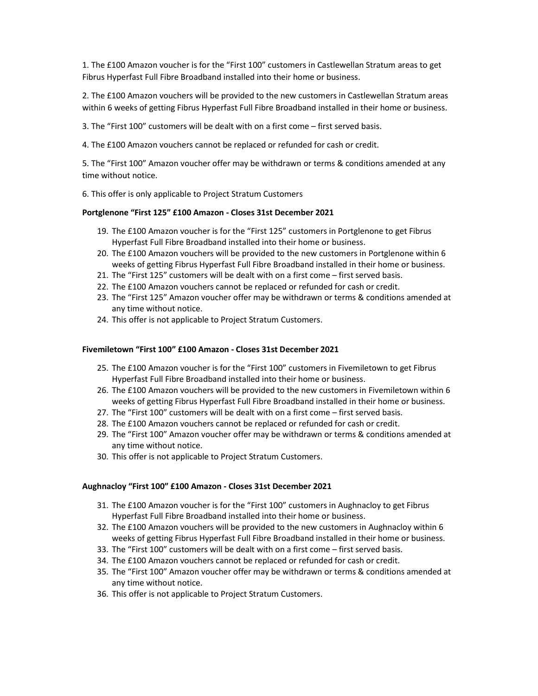1. The £100 Amazon voucher is for the "First 100" customers in Castlewellan Stratum areas to get Fibrus Hyperfast Full Fibre Broadband installed into their home or business.

2. The £100 Amazon vouchers will be provided to the new customers in Castlewellan Stratum areas within 6 weeks of getting Fibrus Hyperfast Full Fibre Broadband installed in their home or business.

3. The "First 100" customers will be dealt with on a first come – first served basis.

4. The £100 Amazon vouchers cannot be replaced or refunded for cash or credit.

5. The "First 100" Amazon voucher offer may be withdrawn or terms & conditions amended at any time without notice.

6. This offer is only applicable to Project Stratum Customers

#### Portglenone "First 125" £100 Amazon - Closes 31st December 2021

- 19. The £100 Amazon voucher is for the "First 125" customers in Portglenone to get Fibrus Hyperfast Full Fibre Broadband installed into their home or business.
- 20. The £100 Amazon vouchers will be provided to the new customers in Portglenone within 6 weeks of getting Fibrus Hyperfast Full Fibre Broadband installed in their home or business.
- 21. The "First 125" customers will be dealt with on a first come first served basis.
- 22. The £100 Amazon vouchers cannot be replaced or refunded for cash or credit.
- 23. The "First 125" Amazon voucher offer may be withdrawn or terms & conditions amended at any time without notice.
- 24. This offer is not applicable to Project Stratum Customers.

#### Fivemiletown "First 100" £100 Amazon - Closes 31st December 2021

- 25. The £100 Amazon voucher is for the "First 100" customers in Fivemiletown to get Fibrus Hyperfast Full Fibre Broadband installed into their home or business.
- 26. The £100 Amazon vouchers will be provided to the new customers in Fivemiletown within 6 weeks of getting Fibrus Hyperfast Full Fibre Broadband installed in their home or business.
- 27. The "First 100" customers will be dealt with on a first come first served basis.
- 28. The £100 Amazon vouchers cannot be replaced or refunded for cash or credit.
- 29. The "First 100" Amazon voucher offer may be withdrawn or terms & conditions amended at any time without notice.
- 30. This offer is not applicable to Project Stratum Customers.

#### Aughnacloy "First 100" £100 Amazon - Closes 31st December 2021

- 31. The £100 Amazon voucher is for the "First 100" customers in Aughnacloy to get Fibrus Hyperfast Full Fibre Broadband installed into their home or business.
- 32. The £100 Amazon vouchers will be provided to the new customers in Aughnacloy within 6 weeks of getting Fibrus Hyperfast Full Fibre Broadband installed in their home or business.
- 33. The "First 100" customers will be dealt with on a first come first served basis.
- 34. The £100 Amazon vouchers cannot be replaced or refunded for cash or credit.
- 35. The "First 100" Amazon voucher offer may be withdrawn or terms & conditions amended at any time without notice.
- 36. This offer is not applicable to Project Stratum Customers.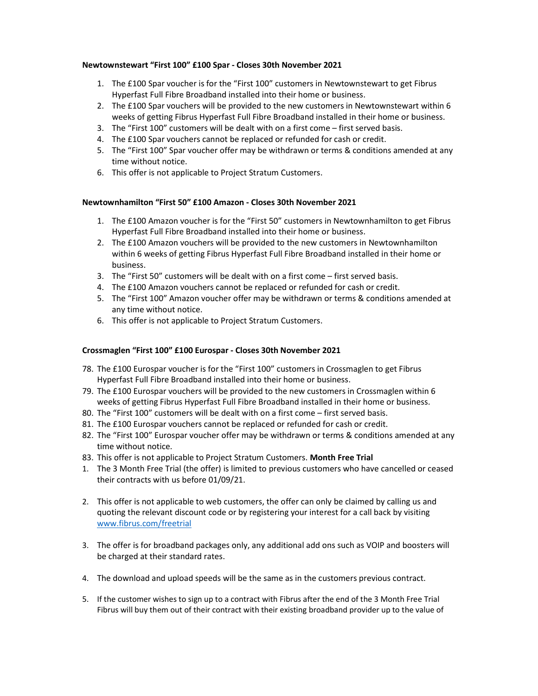### Newtownstewart "First 100" £100 Spar - Closes 30th November 2021

- 1. The £100 Spar voucher is for the "First 100" customers in Newtownstewart to get Fibrus Hyperfast Full Fibre Broadband installed into their home or business.
- 2. The £100 Spar vouchers will be provided to the new customers in Newtownstewart within 6 weeks of getting Fibrus Hyperfast Full Fibre Broadband installed in their home or business.
- 3. The "First 100" customers will be dealt with on a first come first served basis.
- 4. The £100 Spar vouchers cannot be replaced or refunded for cash or credit.
- 5. The "First 100" Spar voucher offer may be withdrawn or terms & conditions amended at any time without notice.
- 6. This offer is not applicable to Project Stratum Customers.

## Newtownhamilton "First 50" £100 Amazon - Closes 30th November 2021

- 1. The £100 Amazon voucher is for the "First 50" customers in Newtownhamilton to get Fibrus Hyperfast Full Fibre Broadband installed into their home or business.
- 2. The £100 Amazon vouchers will be provided to the new customers in Newtownhamilton within 6 weeks of getting Fibrus Hyperfast Full Fibre Broadband installed in their home or business.
- 3. The "First 50" customers will be dealt with on a first come first served basis.
- 4. The £100 Amazon vouchers cannot be replaced or refunded for cash or credit.
- 5. The "First 100" Amazon voucher offer may be withdrawn or terms & conditions amended at any time without notice.
- 6. This offer is not applicable to Project Stratum Customers.

### Crossmaglen "First 100" £100 Eurospar - Closes 30th November 2021

- 78. The £100 Eurospar voucher is for the "First 100" customers in Crossmaglen to get Fibrus Hyperfast Full Fibre Broadband installed into their home or business.
- 79. The £100 Eurospar vouchers will be provided to the new customers in Crossmaglen within 6 weeks of getting Fibrus Hyperfast Full Fibre Broadband installed in their home or business.
- 80. The "First 100" customers will be dealt with on a first come first served basis.
- 81. The £100 Eurospar vouchers cannot be replaced or refunded for cash or credit.
- 82. The "First 100" Eurospar voucher offer may be withdrawn or terms & conditions amended at any time without notice.
- 83. This offer is not applicable to Project Stratum Customers. Month Free Trial
- 1. The 3 Month Free Trial (the offer) is limited to previous customers who have cancelled or ceased their contracts with us before 01/09/21.
- 2. This offer is not applicable to web customers, the offer can only be claimed by calling us and quoting the relevant discount code or by registering your interest for a call back by visiting www.fibrus.com/freetrial
- 3. The offer is for broadband packages only, any additional add ons such as VOIP and boosters will be charged at their standard rates.
- 4. The download and upload speeds will be the same as in the customers previous contract.
- 5. If the customer wishes to sign up to a contract with Fibrus after the end of the 3 Month Free Trial Fibrus will buy them out of their contract with their existing broadband provider up to the value of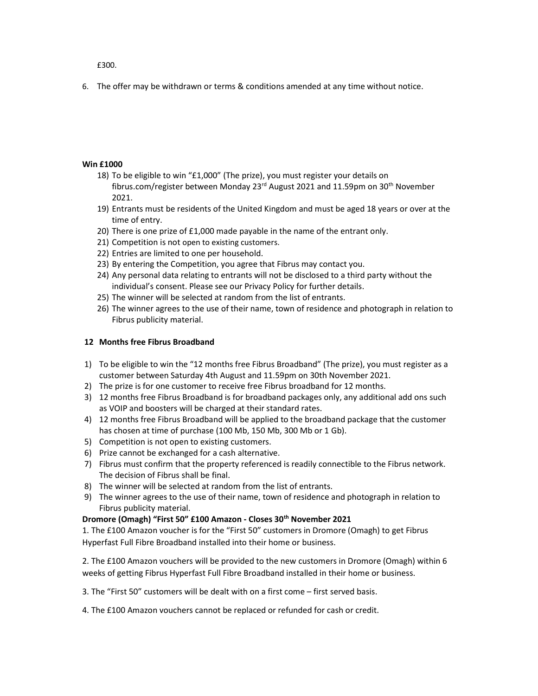£300.

6. The offer may be withdrawn or terms & conditions amended at any time without notice.

## Win £1000

- 18) To be eligible to win "£1,000" (The prize), you must register your details on fibrus.com/register between Monday  $23^{\text{rd}}$  August 2021 and 11.59pm on 30<sup>th</sup> November 2021.
- 19) Entrants must be residents of the United Kingdom and must be aged 18 years or over at the time of entry.
- 20) There is one prize of £1,000 made payable in the name of the entrant only.
- 21) Competition is not open to existing customers.
- 22) Entries are limited to one per household.
- 23) By entering the Competition, you agree that Fibrus may contact you.
- 24) Any personal data relating to entrants will not be disclosed to a third party without the individual's consent. Please see our Privacy Policy for further details.
- 25) The winner will be selected at random from the list of entrants.
- 26) The winner agrees to the use of their name, town of residence and photograph in relation to Fibrus publicity material.

### 12 Months free Fibrus Broadband

- 1) To be eligible to win the "12 months free Fibrus Broadband" (The prize), you must register as a customer between Saturday 4th August and 11.59pm on 30th November 2021.
- 2) The prize is for one customer to receive free Fibrus broadband for 12 months.
- 3) 12 months free Fibrus Broadband is for broadband packages only, any additional add ons such as VOIP and boosters will be charged at their standard rates.
- 4) 12 months free Fibrus Broadband will be applied to the broadband package that the customer has chosen at time of purchase (100 Mb, 150 Mb, 300 Mb or 1 Gb).
- 5) Competition is not open to existing customers.
- 6) Prize cannot be exchanged for a cash alternative.
- 7) Fibrus must confirm that the property referenced is readily connectible to the Fibrus network. The decision of Fibrus shall be final.
- 8) The winner will be selected at random from the list of entrants.
- 9) The winner agrees to the use of their name, town of residence and photograph in relation to Fibrus publicity material.

### Dromore (Omagh) "First 50" £100 Amazon - Closes 30<sup>th</sup> November 2021

1. The £100 Amazon voucher is for the "First 50" customers in Dromore (Omagh) to get Fibrus Hyperfast Full Fibre Broadband installed into their home or business.

2. The £100 Amazon vouchers will be provided to the new customers in Dromore (Omagh) within 6 weeks of getting Fibrus Hyperfast Full Fibre Broadband installed in their home or business.

3. The "First 50" customers will be dealt with on a first come – first served basis.

4. The £100 Amazon vouchers cannot be replaced or refunded for cash or credit.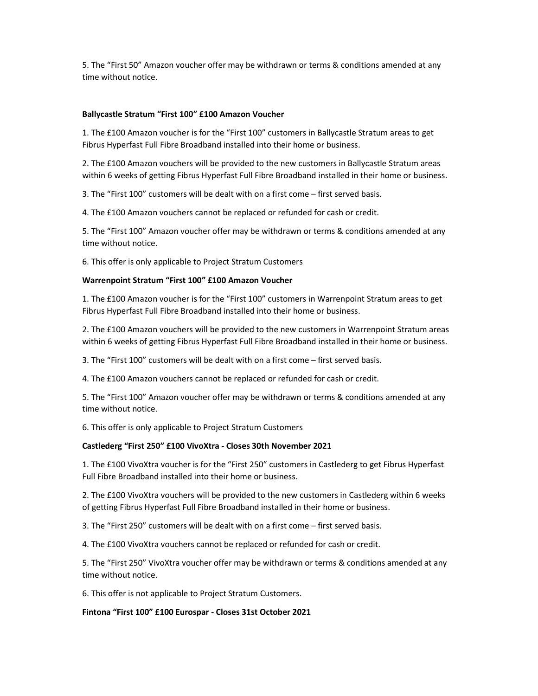5. The "First 50" Amazon voucher offer may be withdrawn or terms & conditions amended at any time without notice.

#### Ballycastle Stratum "First 100" £100 Amazon Voucher

1. The £100 Amazon voucher is for the "First 100" customers in Ballycastle Stratum areas to get Fibrus Hyperfast Full Fibre Broadband installed into their home or business.

2. The £100 Amazon vouchers will be provided to the new customers in Ballycastle Stratum areas within 6 weeks of getting Fibrus Hyperfast Full Fibre Broadband installed in their home or business.

3. The "First 100" customers will be dealt with on a first come – first served basis.

4. The £100 Amazon vouchers cannot be replaced or refunded for cash or credit.

5. The "First 100" Amazon voucher offer may be withdrawn or terms & conditions amended at any time without notice.

6. This offer is only applicable to Project Stratum Customers

#### Warrenpoint Stratum "First 100" £100 Amazon Voucher

1. The £100 Amazon voucher is for the "First 100" customers in Warrenpoint Stratum areas to get Fibrus Hyperfast Full Fibre Broadband installed into their home or business.

2. The £100 Amazon vouchers will be provided to the new customers in Warrenpoint Stratum areas within 6 weeks of getting Fibrus Hyperfast Full Fibre Broadband installed in their home or business.

3. The "First 100" customers will be dealt with on a first come – first served basis.

4. The £100 Amazon vouchers cannot be replaced or refunded for cash or credit.

5. The "First 100" Amazon voucher offer may be withdrawn or terms & conditions amended at any time without notice.

6. This offer is only applicable to Project Stratum Customers

#### Castlederg "First 250" £100 VivoXtra - Closes 30th November 2021

1. The £100 VivoXtra voucher is for the "First 250" customers in Castlederg to get Fibrus Hyperfast Full Fibre Broadband installed into their home or business.

2. The £100 VivoXtra vouchers will be provided to the new customers in Castlederg within 6 weeks of getting Fibrus Hyperfast Full Fibre Broadband installed in their home or business.

3. The "First 250" customers will be dealt with on a first come – first served basis.

4. The £100 VivoXtra vouchers cannot be replaced or refunded for cash or credit.

5. The "First 250" VivoXtra voucher offer may be withdrawn or terms & conditions amended at any time without notice.

6. This offer is not applicable to Project Stratum Customers.

#### Fintona "First 100" £100 Eurospar - Closes 31st October 2021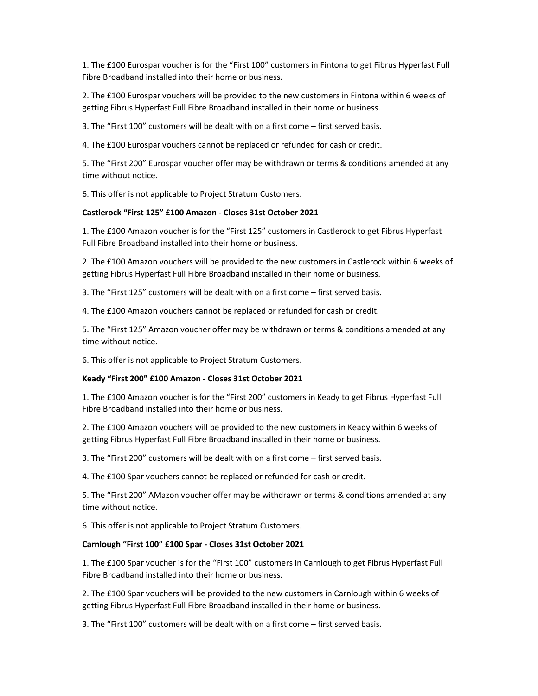1. The £100 Eurospar voucher is for the "First 100" customers in Fintona to get Fibrus Hyperfast Full Fibre Broadband installed into their home or business.

2. The £100 Eurospar vouchers will be provided to the new customers in Fintona within 6 weeks of getting Fibrus Hyperfast Full Fibre Broadband installed in their home or business.

3. The "First 100" customers will be dealt with on a first come – first served basis.

4. The £100 Eurospar vouchers cannot be replaced or refunded for cash or credit.

5. The "First 200" Eurospar voucher offer may be withdrawn or terms & conditions amended at any time without notice.

6. This offer is not applicable to Project Stratum Customers.

#### Castlerock "First 125" £100 Amazon - Closes 31st October 2021

1. The £100 Amazon voucher is for the "First 125" customers in Castlerock to get Fibrus Hyperfast Full Fibre Broadband installed into their home or business.

2. The £100 Amazon vouchers will be provided to the new customers in Castlerock within 6 weeks of getting Fibrus Hyperfast Full Fibre Broadband installed in their home or business.

3. The "First 125" customers will be dealt with on a first come – first served basis.

4. The £100 Amazon vouchers cannot be replaced or refunded for cash or credit.

5. The "First 125" Amazon voucher offer may be withdrawn or terms & conditions amended at any time without notice.

6. This offer is not applicable to Project Stratum Customers.

#### Keady "First 200" £100 Amazon - Closes 31st October 2021

1. The £100 Amazon voucher is for the "First 200" customers in Keady to get Fibrus Hyperfast Full Fibre Broadband installed into their home or business.

2. The £100 Amazon vouchers will be provided to the new customers in Keady within 6 weeks of getting Fibrus Hyperfast Full Fibre Broadband installed in their home or business.

3. The "First 200" customers will be dealt with on a first come – first served basis.

4. The £100 Spar vouchers cannot be replaced or refunded for cash or credit.

5. The "First 200" AMazon voucher offer may be withdrawn or terms & conditions amended at any time without notice.

6. This offer is not applicable to Project Stratum Customers.

#### Carnlough "First 100" £100 Spar - Closes 31st October 2021

1. The £100 Spar voucher is for the "First 100" customers in Carnlough to get Fibrus Hyperfast Full Fibre Broadband installed into their home or business.

2. The £100 Spar vouchers will be provided to the new customers in Carnlough within 6 weeks of getting Fibrus Hyperfast Full Fibre Broadband installed in their home or business.

3. The "First 100" customers will be dealt with on a first come – first served basis.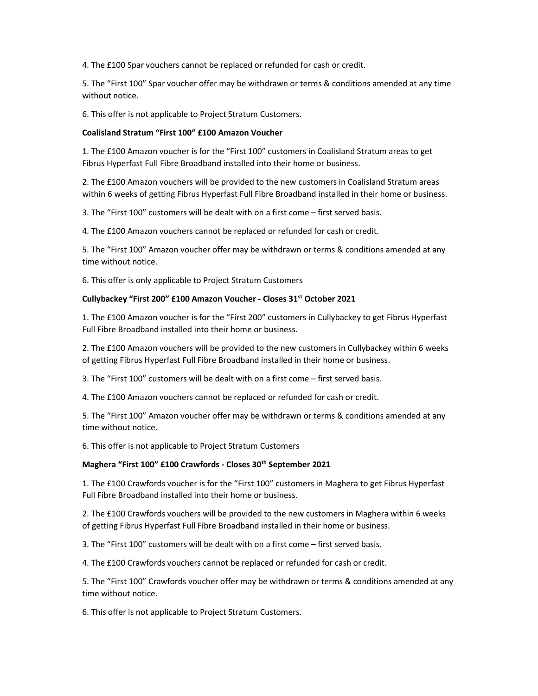4. The £100 Spar vouchers cannot be replaced or refunded for cash or credit.

5. The "First 100" Spar voucher offer may be withdrawn or terms & conditions amended at any time without notice.

6. This offer is not applicable to Project Stratum Customers.

#### Coalisland Stratum "First 100" £100 Amazon Voucher

1. The £100 Amazon voucher is for the "First 100" customers in Coalisland Stratum areas to get Fibrus Hyperfast Full Fibre Broadband installed into their home or business.

2. The £100 Amazon vouchers will be provided to the new customers in Coalisland Stratum areas within 6 weeks of getting Fibrus Hyperfast Full Fibre Broadband installed in their home or business.

3. The "First 100" customers will be dealt with on a first come – first served basis.

4. The £100 Amazon vouchers cannot be replaced or refunded for cash or credit.

5. The "First 100" Amazon voucher offer may be withdrawn or terms & conditions amended at any time without notice.

6. This offer is only applicable to Project Stratum Customers

#### Cullybackey "First 200" £100 Amazon Voucher - Closes 31st October 2021

1. The £100 Amazon voucher is for the "First 200" customers in Cullybackey to get Fibrus Hyperfast Full Fibre Broadband installed into their home or business.

2. The £100 Amazon vouchers will be provided to the new customers in Cullybackey within 6 weeks of getting Fibrus Hyperfast Full Fibre Broadband installed in their home or business.

3. The "First 100" customers will be dealt with on a first come – first served basis.

4. The £100 Amazon vouchers cannot be replaced or refunded for cash or credit.

5. The "First 100" Amazon voucher offer may be withdrawn or terms & conditions amended at any time without notice.

6. This offer is not applicable to Project Stratum Customers

### Maghera "First 100" £100 Crawfords - Closes 30<sup>th</sup> September 2021

1. The £100 Crawfords voucher is for the "First 100" customers in Maghera to get Fibrus Hyperfast Full Fibre Broadband installed into their home or business.

2. The £100 Crawfords vouchers will be provided to the new customers in Maghera within 6 weeks of getting Fibrus Hyperfast Full Fibre Broadband installed in their home or business.

3. The "First 100" customers will be dealt with on a first come – first served basis.

4. The £100 Crawfords vouchers cannot be replaced or refunded for cash or credit.

5. The "First 100" Crawfords voucher offer may be withdrawn or terms & conditions amended at any time without notice.

6. This offer is not applicable to Project Stratum Customers.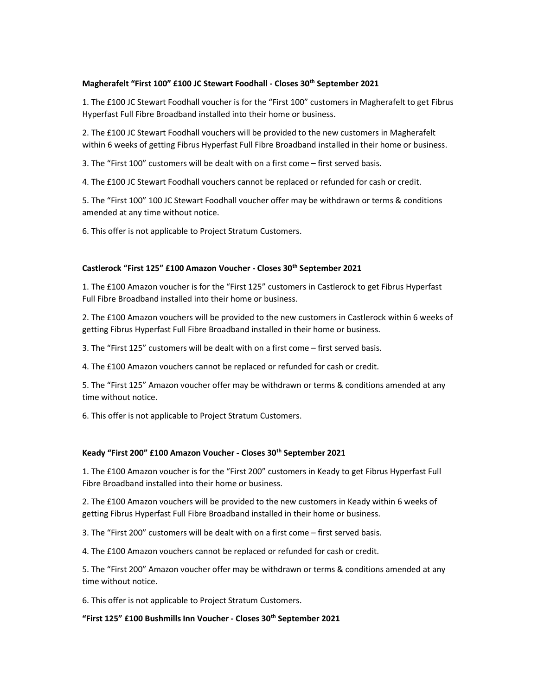### Magherafelt "First 100" £100 JC Stewart Foodhall - Closes 30<sup>th</sup> September 2021

1. The £100 JC Stewart Foodhall voucher is for the "First 100" customers in Magherafelt to get Fibrus Hyperfast Full Fibre Broadband installed into their home or business.

2. The £100 JC Stewart Foodhall vouchers will be provided to the new customers in Magherafelt within 6 weeks of getting Fibrus Hyperfast Full Fibre Broadband installed in their home or business.

3. The "First 100" customers will be dealt with on a first come – first served basis.

4. The £100 JC Stewart Foodhall vouchers cannot be replaced or refunded for cash or credit.

5. The "First 100" 100 JC Stewart Foodhall voucher offer may be withdrawn or terms & conditions amended at any time without notice.

6. This offer is not applicable to Project Stratum Customers.

#### Castlerock "First 125" £100 Amazon Voucher - Closes 30<sup>th</sup> September 2021

1. The £100 Amazon voucher is for the "First 125" customers in Castlerock to get Fibrus Hyperfast Full Fibre Broadband installed into their home or business.

2. The £100 Amazon vouchers will be provided to the new customers in Castlerock within 6 weeks of getting Fibrus Hyperfast Full Fibre Broadband installed in their home or business.

3. The "First 125" customers will be dealt with on a first come – first served basis.

4. The £100 Amazon vouchers cannot be replaced or refunded for cash or credit.

5. The "First 125" Amazon voucher offer may be withdrawn or terms & conditions amended at any time without notice.

6. This offer is not applicable to Project Stratum Customers.

#### Keady "First 200" £100 Amazon Voucher - Closes 30<sup>th</sup> September 2021

1. The £100 Amazon voucher is for the "First 200" customers in Keady to get Fibrus Hyperfast Full Fibre Broadband installed into their home or business.

2. The £100 Amazon vouchers will be provided to the new customers in Keady within 6 weeks of getting Fibrus Hyperfast Full Fibre Broadband installed in their home or business.

3. The "First 200" customers will be dealt with on a first come – first served basis.

4. The £100 Amazon vouchers cannot be replaced or refunded for cash or credit.

5. The "First 200" Amazon voucher offer may be withdrawn or terms & conditions amended at any time without notice.

6. This offer is not applicable to Project Stratum Customers.

# "First 125" £100 Bushmills Inn Voucher - Closes 30th September 2021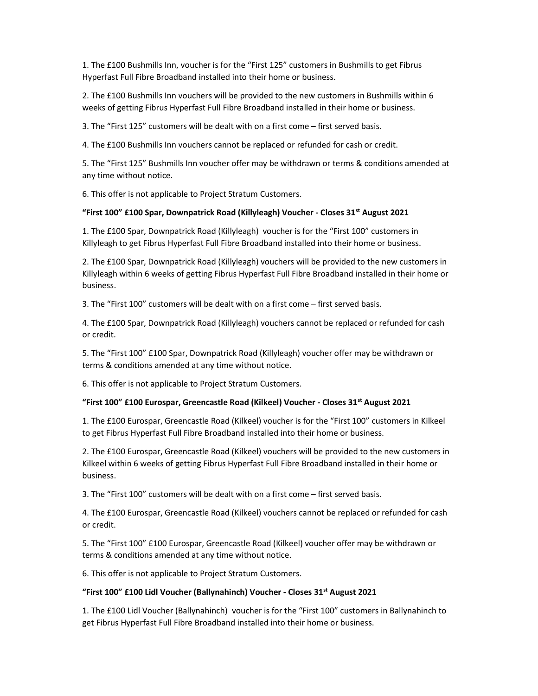1. The £100 Bushmills Inn, voucher is for the "First 125" customers in Bushmills to get Fibrus Hyperfast Full Fibre Broadband installed into their home or business.

2. The £100 Bushmills Inn vouchers will be provided to the new customers in Bushmills within 6 weeks of getting Fibrus Hyperfast Full Fibre Broadband installed in their home or business.

3. The "First 125" customers will be dealt with on a first come – first served basis.

4. The £100 Bushmills Inn vouchers cannot be replaced or refunded for cash or credit.

5. The "First 125" Bushmills Inn voucher offer may be withdrawn or terms & conditions amended at any time without notice.

6. This offer is not applicable to Project Stratum Customers.

#### "First 100" £100 Spar, Downpatrick Road (Killyleagh) Voucher - Closes 31<sup>st</sup> August 2021

1. The £100 Spar, Downpatrick Road (Killyleagh) voucher is for the "First 100" customers in Killyleagh to get Fibrus Hyperfast Full Fibre Broadband installed into their home or business.

2. The £100 Spar, Downpatrick Road (Killyleagh) vouchers will be provided to the new customers in Killyleagh within 6 weeks of getting Fibrus Hyperfast Full Fibre Broadband installed in their home or business.

3. The "First 100" customers will be dealt with on a first come – first served basis.

4. The £100 Spar, Downpatrick Road (Killyleagh) vouchers cannot be replaced or refunded for cash or credit.

5. The "First 100" £100 Spar, Downpatrick Road (Killyleagh) voucher offer may be withdrawn or terms & conditions amended at any time without notice.

6. This offer is not applicable to Project Stratum Customers.

#### "First 100" £100 Eurospar, Greencastle Road (Kilkeel) Voucher - Closes 31st August 2021

1. The £100 Eurospar, Greencastle Road (Kilkeel) voucher is for the "First 100" customers in Kilkeel to get Fibrus Hyperfast Full Fibre Broadband installed into their home or business.

2. The £100 Eurospar, Greencastle Road (Kilkeel) vouchers will be provided to the new customers in Kilkeel within 6 weeks of getting Fibrus Hyperfast Full Fibre Broadband installed in their home or business.

3. The "First 100" customers will be dealt with on a first come – first served basis.

4. The £100 Eurospar, Greencastle Road (Kilkeel) vouchers cannot be replaced or refunded for cash or credit.

5. The "First 100" £100 Eurospar, Greencastle Road (Kilkeel) voucher offer may be withdrawn or terms & conditions amended at any time without notice.

6. This offer is not applicable to Project Stratum Customers.

#### "First 100" £100 Lidl Voucher (Ballynahinch) Voucher - Closes 31 $\mathrm{^{st}}$  August 2021

1. The £100 Lidl Voucher (Ballynahinch) voucher is for the "First 100" customers in Ballynahinch to get Fibrus Hyperfast Full Fibre Broadband installed into their home or business.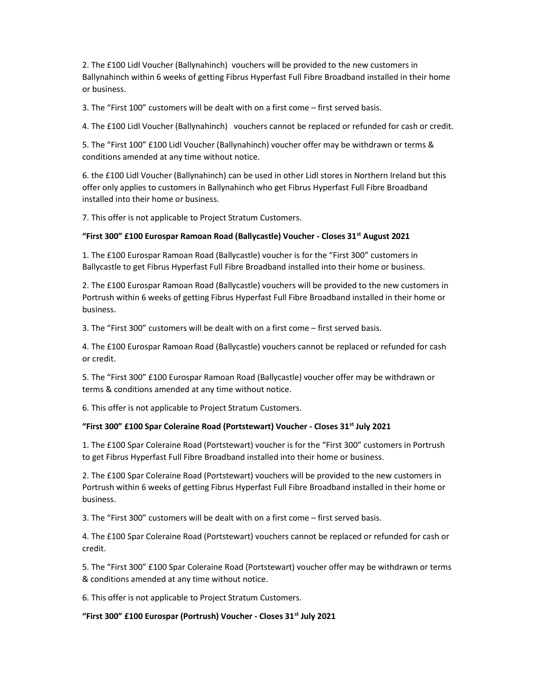2. The £100 Lidl Voucher (Ballynahinch) vouchers will be provided to the new customers in Ballynahinch within 6 weeks of getting Fibrus Hyperfast Full Fibre Broadband installed in their home or business.

3. The "First 100" customers will be dealt with on a first come – first served basis.

4. The £100 Lidl Voucher (Ballynahinch) vouchers cannot be replaced or refunded for cash or credit.

5. The "First 100" £100 Lidl Voucher (Ballynahinch) voucher offer may be withdrawn or terms & conditions amended at any time without notice.

6. the £100 Lidl Voucher (Ballynahinch) can be used in other Lidl stores in Northern Ireland but this offer only applies to customers in Ballynahinch who get Fibrus Hyperfast Full Fibre Broadband installed into their home or business.

7. This offer is not applicable to Project Stratum Customers.

#### "First 300" £100 Eurospar Ramoan Road (Ballycastle) Voucher - Closes 31st August 2021

1. The £100 Eurospar Ramoan Road (Ballycastle) voucher is for the "First 300" customers in Ballycastle to get Fibrus Hyperfast Full Fibre Broadband installed into their home or business.

2. The £100 Eurospar Ramoan Road (Ballycastle) vouchers will be provided to the new customers in Portrush within 6 weeks of getting Fibrus Hyperfast Full Fibre Broadband installed in their home or business.

3. The "First 300" customers will be dealt with on a first come – first served basis.

4. The £100 Eurospar Ramoan Road (Ballycastle) vouchers cannot be replaced or refunded for cash or credit.

5. The "First 300" £100 Eurospar Ramoan Road (Ballycastle) voucher offer may be withdrawn or terms & conditions amended at any time without notice.

6. This offer is not applicable to Project Stratum Customers.

#### "First 300" £100 Spar Coleraine Road (Portstewart) Voucher - Closes  $31^{st}$  July 2021

1. The £100 Spar Coleraine Road (Portstewart) voucher is for the "First 300" customers in Portrush to get Fibrus Hyperfast Full Fibre Broadband installed into their home or business.

2. The £100 Spar Coleraine Road (Portstewart) vouchers will be provided to the new customers in Portrush within 6 weeks of getting Fibrus Hyperfast Full Fibre Broadband installed in their home or business.

3. The "First 300" customers will be dealt with on a first come – first served basis.

4. The £100 Spar Coleraine Road (Portstewart) vouchers cannot be replaced or refunded for cash or credit.

5. The "First 300" £100 Spar Coleraine Road (Portstewart) voucher offer may be withdrawn or terms & conditions amended at any time without notice.

6. This offer is not applicable to Project Stratum Customers.

#### "First 300" £100 Eurospar (Portrush) Voucher - Closes 31<sup>st</sup> July 2021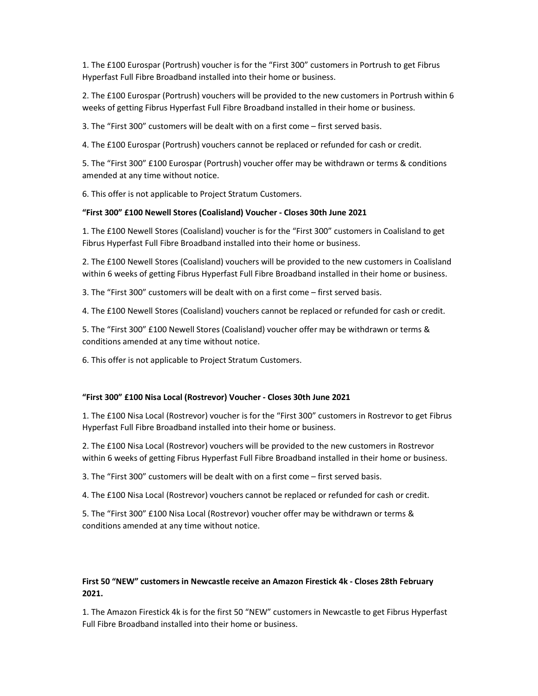1. The £100 Eurospar (Portrush) voucher is for the "First 300" customers in Portrush to get Fibrus Hyperfast Full Fibre Broadband installed into their home or business.

2. The £100 Eurospar (Portrush) vouchers will be provided to the new customers in Portrush within 6 weeks of getting Fibrus Hyperfast Full Fibre Broadband installed in their home or business.

3. The "First 300" customers will be dealt with on a first come – first served basis.

4. The £100 Eurospar (Portrush) vouchers cannot be replaced or refunded for cash or credit.

5. The "First 300" £100 Eurospar (Portrush) voucher offer may be withdrawn or terms & conditions amended at any time without notice.

6. This offer is not applicable to Project Stratum Customers.

#### "First 300" £100 Newell Stores (Coalisland) Voucher - Closes 30th June 2021

1. The £100 Newell Stores (Coalisland) voucher is for the "First 300" customers in Coalisland to get Fibrus Hyperfast Full Fibre Broadband installed into their home or business.

2. The £100 Newell Stores (Coalisland) vouchers will be provided to the new customers in Coalisland within 6 weeks of getting Fibrus Hyperfast Full Fibre Broadband installed in their home or business.

3. The "First 300" customers will be dealt with on a first come – first served basis.

4. The £100 Newell Stores (Coalisland) vouchers cannot be replaced or refunded for cash or credit.

5. The "First 300" £100 Newell Stores (Coalisland) voucher offer may be withdrawn or terms & conditions amended at any time without notice.

6. This offer is not applicable to Project Stratum Customers.

#### "First 300" £100 Nisa Local (Rostrevor) Voucher - Closes 30th June 2021

1. The £100 Nisa Local (Rostrevor) voucher is for the "First 300" customers in Rostrevor to get Fibrus Hyperfast Full Fibre Broadband installed into their home or business.

2. The £100 Nisa Local (Rostrevor) vouchers will be provided to the new customers in Rostrevor within 6 weeks of getting Fibrus Hyperfast Full Fibre Broadband installed in their home or business.

3. The "First 300" customers will be dealt with on a first come – first served basis.

4. The £100 Nisa Local (Rostrevor) vouchers cannot be replaced or refunded for cash or credit.

5. The "First 300" £100 Nisa Local (Rostrevor) voucher offer may be withdrawn or terms & conditions amended at any time without notice.

## First 50 "NEW" customers in Newcastle receive an Amazon Firestick 4k - Closes 28th February 2021.

1. The Amazon Firestick 4k is for the first 50 "NEW" customers in Newcastle to get Fibrus Hyperfast Full Fibre Broadband installed into their home or business.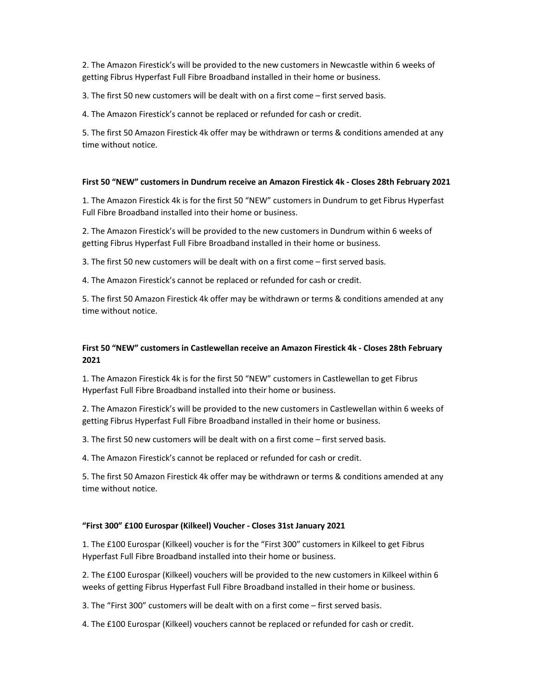2. The Amazon Firestick's will be provided to the new customers in Newcastle within 6 weeks of getting Fibrus Hyperfast Full Fibre Broadband installed in their home or business.

3. The first 50 new customers will be dealt with on a first come – first served basis.

4. The Amazon Firestick's cannot be replaced or refunded for cash or credit.

5. The first 50 Amazon Firestick 4k offer may be withdrawn or terms & conditions amended at any time without notice.

### First 50 "NEW" customers in Dundrum receive an Amazon Firestick 4k - Closes 28th February 2021

1. The Amazon Firestick 4k is for the first 50 "NEW" customers in Dundrum to get Fibrus Hyperfast Full Fibre Broadband installed into their home or business.

2. The Amazon Firestick's will be provided to the new customers in Dundrum within 6 weeks of getting Fibrus Hyperfast Full Fibre Broadband installed in their home or business.

3. The first 50 new customers will be dealt with on a first come – first served basis.

4. The Amazon Firestick's cannot be replaced or refunded for cash or credit.

5. The first 50 Amazon Firestick 4k offer may be withdrawn or terms & conditions amended at any time without notice.

# First 50 "NEW" customers in Castlewellan receive an Amazon Firestick 4k - Closes 28th February 2021

1. The Amazon Firestick 4k is for the first 50 "NEW" customers in Castlewellan to get Fibrus Hyperfast Full Fibre Broadband installed into their home or business.

2. The Amazon Firestick's will be provided to the new customers in Castlewellan within 6 weeks of getting Fibrus Hyperfast Full Fibre Broadband installed in their home or business.

3. The first 50 new customers will be dealt with on a first come – first served basis.

4. The Amazon Firestick's cannot be replaced or refunded for cash or credit.

5. The first 50 Amazon Firestick 4k offer may be withdrawn or terms & conditions amended at any time without notice.

### "First 300" £100 Eurospar (Kilkeel) Voucher - Closes 31st January 2021

1. The £100 Eurospar (Kilkeel) voucher is for the "First 300" customers in Kilkeel to get Fibrus Hyperfast Full Fibre Broadband installed into their home or business.

2. The £100 Eurospar (Kilkeel) vouchers will be provided to the new customers in Kilkeel within 6 weeks of getting Fibrus Hyperfast Full Fibre Broadband installed in their home or business.

3. The "First 300" customers will be dealt with on a first come – first served basis.

4. The £100 Eurospar (Kilkeel) vouchers cannot be replaced or refunded for cash or credit.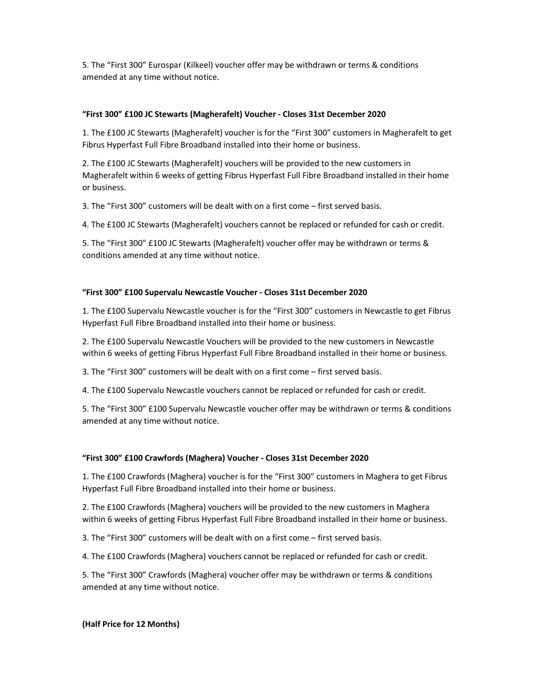5. The "First 300" Eurospar (Kilkeel) voucher offer may be withdrawn or terms & conditions amended at any time without notice.

### "First 300" £100 JC Stewarts (Magherafelt) Voucher - Closes 31st December 2020

1. The £100 JC Stewarts (Magherafelt) voucher is for the "First 300" customers in Magherafelt to get Fibrus Hyperfast Full Fibre Broadband installed into their home or business.

2. The £100 JC Stewarts (Magherafelt) vouchers will be provided to the new customers in Magherafelt within 6 weeks of getting Fibrus Hyperfast Full Fibre Broadband installed in their home or business.

3. The "First 300" customers will be dealt with on a first come – first served basis.

4. The £100 JC Stewarts (Magherafelt) vouchers cannot be replaced or refunded for cash or credit.

5. The "First 300" £100 JC Stewarts (Magherafelt) voucher offer may be withdrawn or terms & conditions amended at any time without notice.

## "First 300" £100 Supervalu Newcastle Voucher - Closes 31st December 2020

1. The £100 Supervalu Newcastle voucher is for the "First 300" customers in Newcastle to get Fibrus Hyperfast Full Fibre Broadband installed into their home or business.

2. The £100 Supervalu Newcastle Vouchers will be provided to the new customers in Newcastle within 6 weeks of getting Fibrus Hyperfast Full Fibre Broadband installed in their home or business.

3. The "First 300" customers will be dealt with on a first come – first served basis.

4. The £100 Supervalu Newcastle vouchers cannot be replaced or refunded for cash or credit.

5. The "First 300" £100 Supervalu Newcastle voucher offer may be withdrawn or terms & conditions amended at any time without notice.

### "First 300" £100 Crawfords (Maghera) Voucher - Closes 31st December 2020

1. The £100 Crawfords (Maghera) voucher is for the "First 300" customers in Maghera to get Fibrus Hyperfast Full Fibre Broadband installed into their home or business.

2. The £100 Crawfords (Maghera) vouchers will be provided to the new customers in Maghera within 6 weeks of getting Fibrus Hyperfast Full Fibre Broadband installed in their home or business.

3. The "First 300" customers will be dealt with on a first come – first served basis.

4. The £100 Crawfords (Maghera) vouchers cannot be replaced or refunded for cash or credit.

5. The "First 300" Crawfords (Maghera) voucher offer may be withdrawn or terms & conditions amended at any time without notice.

### (Half Price for 12 Months)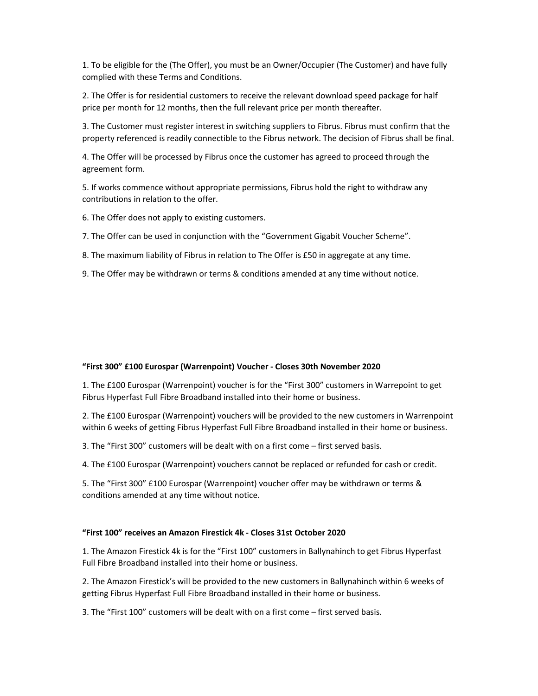1. To be eligible for the (The Offer), you must be an Owner/Occupier (The Customer) and have fully complied with these Terms and Conditions.

2. The Offer is for residential customers to receive the relevant download speed package for half price per month for 12 months, then the full relevant price per month thereafter.

3. The Customer must register interest in switching suppliers to Fibrus. Fibrus must confirm that the property referenced is readily connectible to the Fibrus network. The decision of Fibrus shall be final.

4. The Offer will be processed by Fibrus once the customer has agreed to proceed through the agreement form.

5. If works commence without appropriate permissions, Fibrus hold the right to withdraw any contributions in relation to the offer.

6. The Offer does not apply to existing customers.

7. The Offer can be used in conjunction with the "Government Gigabit Voucher Scheme".

8. The maximum liability of Fibrus in relation to The Offer is £50 in aggregate at any time.

9. The Offer may be withdrawn or terms & conditions amended at any time without notice.

#### "First 300" £100 Eurospar (Warrenpoint) Voucher - Closes 30th November 2020

1. The £100 Eurospar (Warrenpoint) voucher is for the "First 300" customers in Warrepoint to get Fibrus Hyperfast Full Fibre Broadband installed into their home or business.

2. The £100 Eurospar (Warrenpoint) vouchers will be provided to the new customers in Warrenpoint within 6 weeks of getting Fibrus Hyperfast Full Fibre Broadband installed in their home or business.

3. The "First 300" customers will be dealt with on a first come – first served basis.

4. The £100 Eurospar (Warrenpoint) vouchers cannot be replaced or refunded for cash or credit.

5. The "First 300" £100 Eurospar (Warrenpoint) voucher offer may be withdrawn or terms & conditions amended at any time without notice.

### "First 100" receives an Amazon Firestick 4k - Closes 31st October 2020

1. The Amazon Firestick 4k is for the "First 100" customers in Ballynahinch to get Fibrus Hyperfast Full Fibre Broadband installed into their home or business.

2. The Amazon Firestick's will be provided to the new customers in Ballynahinch within 6 weeks of getting Fibrus Hyperfast Full Fibre Broadband installed in their home or business.

3. The "First 100" customers will be dealt with on a first come – first served basis.